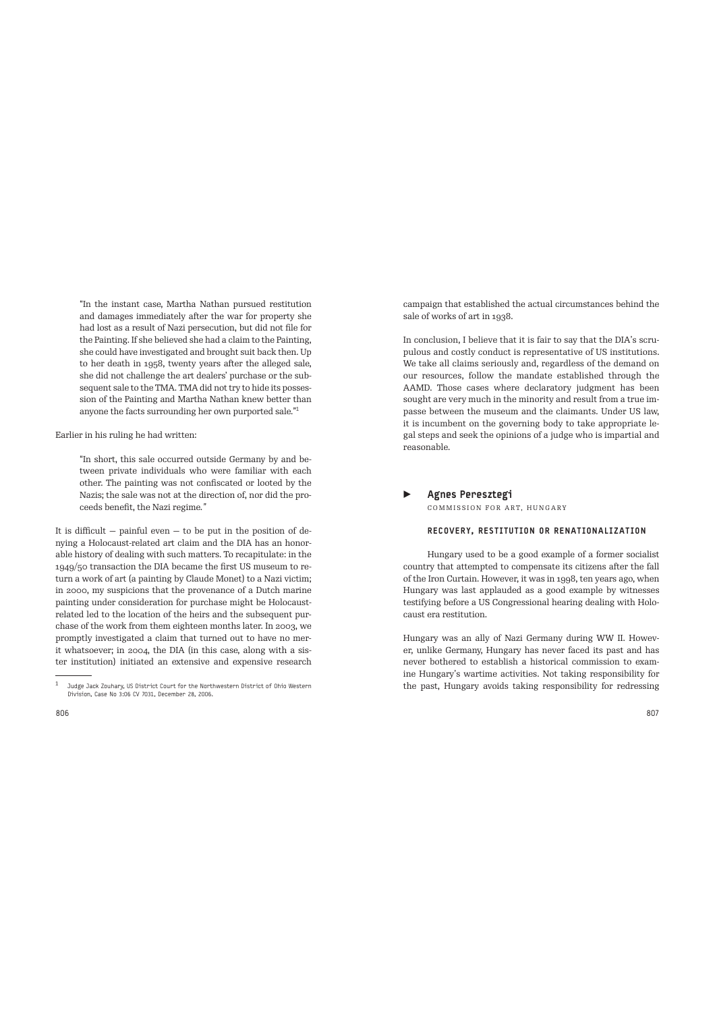"In the instant case, Martha Nathan pursued restitution and damages immediately after the war for property she had lost as a result of Nazi persecution, but did not file for the Painting. If she believed she had a claim to the Painting, she could have investigated and brought suit back then. Up to her death in 1958, twenty years after the alleged sale, she did not challenge the art dealers' purchase or the subsequent sale to the TMA. TMA did not try to hide its possession of the Painting and Martha Nathan knew better than anyone the facts surrounding her own purported sale."<sup>1</sup>

Earlier in his ruling he had written:

"In short, this sale occurred outside Germany by and between private individuals who were familiar with each other. The painting was not confiscated or looted by the Nazis; the sale was not at the direction of, nor did the proceeds benefit, the Nazi regime*."*

It is difficult  $-$  painful even  $-$  to be put in the position of denying a Holocaust-related art claim and the DIA has an honorable history of dealing with such matters. To recapitulate: in the 1949/50 transaction the DIA became the first US museum to return a work of art (a painting by Claude Monet) to a Nazi victim; in 2000, my suspicions that the provenance of a Dutch marine painting under consideration for purchase might be Holocaustrelated led to the location of the heirs and the subsequent purchase of the work from them eighteen months later. In 2003, we promptly investigated a claim that turned out to have no merit whatsoever; in 2004, the DIA (in this case, along with a sister institution) initiated an extensive and expensive research

campaign that established the actual circumstances behind the sale of works of art in 1938.

In conclusion, I believe that it is fair to say that the DIA's scrupulous and costly conduct is representative of US institutions. We take all claims seriously and, regardless of the demand on our resources, follow the mandate established through the AAMD. Those cases where declaratory judgment has been sought are very much in the minority and result from a true impasse between the museum and the claimants. Under US law, it is incumbent on the governing body to take appropriate legal steps and seek the opinions of a judge who is impartial and reasonable.

#### ▶ Agnes Peresztegi COMMISSION FOR ART, HUNGARY

#### RECOVERY, RESTITUTION OR RENATIONALIZATION

Hungary used to be a good example of a former socialist country that attempted to compensate its citizens after the fall of the Iron Curtain. However, it was in 1998, ten years ago, when Hungary was last applauded as a good example by witnesses testifying before a US Congressional hearing dealing with Holocaust era restitution.

Hungary was an ally of Nazi Germany during WW II. However, unlike Germany, Hungary has never faced its past and has never bothered to establish a historical commission to examine Hungary's wartime activities. Not taking responsibility for the past, Hungary avoids taking responsibility for redressing

<sup>1</sup>Judge Jack Zouhary, US District Court for the Northwestern District of Ohio Western Division, Case No 3:06 CV 7031, December 28, 2006.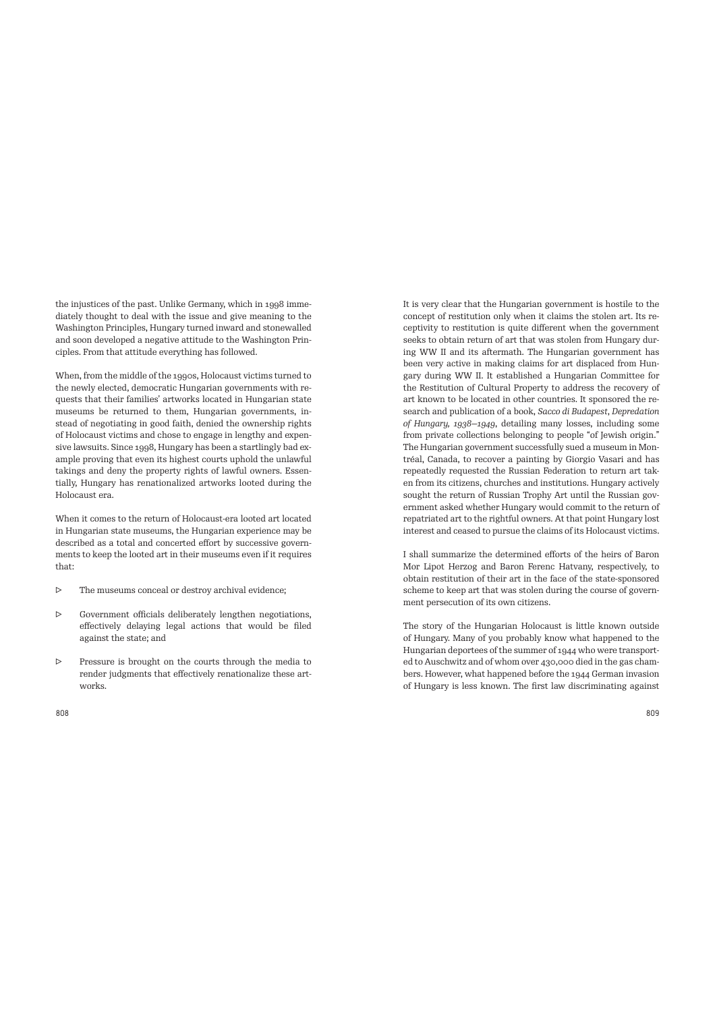the injustices of the past. Unlike Germany, which in 1998 immediately thought to deal with the issue and give meaning to the Washington Principles, Hungary turned inward and stonewalled and soon developed a negative attitude to the Washington Principles. From that attitude everything has followed.

When, from the middle of the 1990s, Holocaust victims turned to the newly elected, democratic Hungarian governments with requests that their families' artworks located in Hungarian state museums be returned to them, Hungarian governments, instead of negotiating in good faith, denied the ownership rights of Holocaust victims and chose to engage in lengthy and expensive lawsuits. Since 1998, Hungary has been a startlingly bad example proving that even its highest courts uphold the unlawful takings and deny the property rights of lawful owners. Essentially, Hungary has renationalized artworks looted during the Holocaust era.

When it comes to the return of Holocaust-era looted art located in Hungarian state museums, the Hungarian experience may be described as a total and concerted effort by successive governments to keep the looted art in their museums even if it requires that:

- ▷ The museums conceal or destroy archival evidence;
- ▷ Government officials deliberately lengthen negotiations, effectively delaying legal actions that would be filed against the state; and
- ▷ Pressure is brought on the courts through the media to render judgments that effectively renationalize these artworks.

It is very clear that the Hungarian government is hostile to the concept of restitution only when it claims the stolen art. Its receptivity to restitution is quite different when the government seeks to obtain return of art that was stolen from Hungary during WW II and its aftermath. The Hungarian government has been very active in making claims for art displaced from Hungary during WW II. It established a Hungarian Committee for the Restitution of Cultural Property to address the recovery of art known to be located in other countries. It sponsored the research and publication of a book, *Sacco di Budapest*, *Depredation of Hungary, 1938—1949*, detailing many losses, including some from private collections belonging to people "of Jewish origin." The Hungarian government successfully sued a museum in Montréal, Canada, to recover a painting by Giorgio Vasari and has repeatedly requested the Russian Federation to return art taken from its citizens, churches and institutions. Hungary actively sought the return of Russian Trophy Art until the Russian government asked whether Hungary would commit to the return of repatriated art to the rightful owners. At that point Hungary lost interest and ceased to pursue the claims of its Holocaust victims.

I shall summarize the determined efforts of the heirs of Baron Mor Lipot Herzog and Baron Ferenc Hatvany, respectively, to obtain restitution of their art in the face of the state-sponsored scheme to keep art that was stolen during the course of government persecution of its own citizens.

The story of the Hungarian Holocaust is little known outside of Hungary. Many of you probably know what happened to the Hungarian deportees of the summer of 1944 who were transported to Auschwitz and of whom over 430,000 died in the gas chambers. However, what happened before the 1944 German invasion of Hungary is less known. The first law discriminating against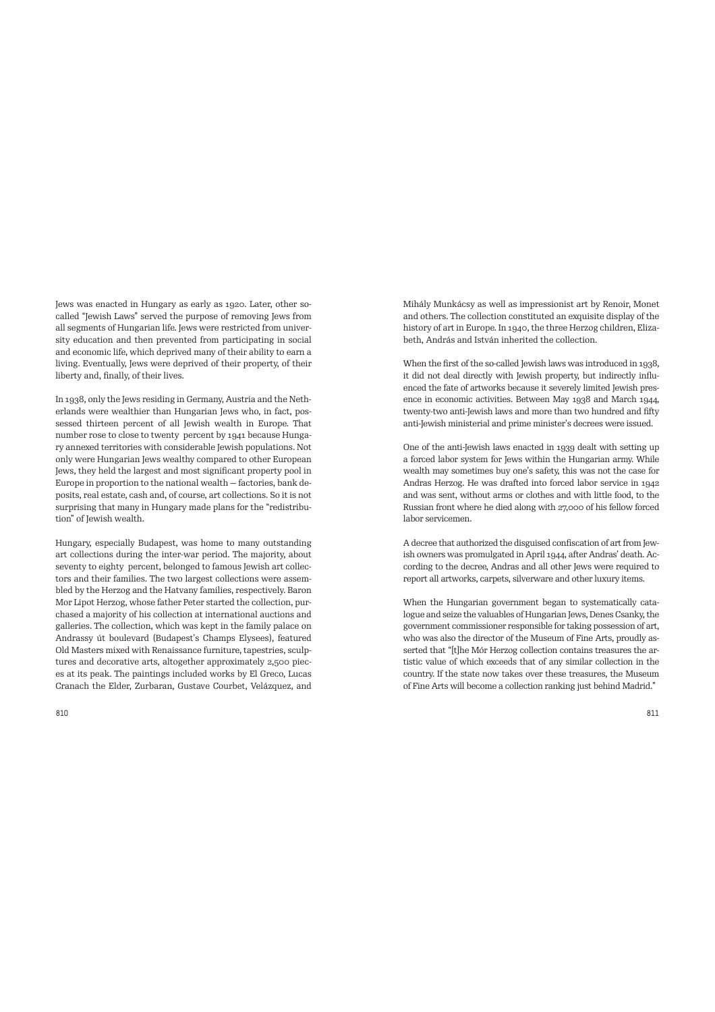Jews was enacted in Hungary as early as 1920. Later, other socalled "Jewish Laws" served the purpose of removing Jews from all segments of Hungarian life. Jews were restricted from university education and then prevented from participating in social and economic life, which deprived many of their ability to earn a living. Eventually, Jews were deprived of their property, of their liberty and, finally, of their lives.

In 1938, only the Jews residing in Germany, Austria and the Netherlands were wealthier than Hungarian Jews who, in fact, possessed thirteen percent of all Jewish wealth in Europe. That number rose to close to twenty percent by 1941 because Hungary annexed territories with considerable Jewish populations. Not only were Hungarian Jews wealthy compared to other European Jews, they held the largest and most significant property pool in Europe in proportion to the national wealth — factories, bank deposits, real estate, cash and, of course, art collections. So it is not surprising that many in Hungary made plans for the "redistribution" of Jewish wealth.

Hungary, especially Budapest, was home to many outstanding art collections during the inter-war period. The majority, about seventy to eighty percent, belonged to famous Jewish art collectors and their families. The two largest collections were assembled by the Herzog and the Hatvany families, respectively. Baron Mor Lipot Herzog, whose father Peter started the collection, purchased a majority of his collection at international auctions and galleries. The collection, which was kept in the family palace on Andrassy út boulevard (Budapest's Champs Elysees), featured Old Masters mixed with Renaissance furniture, tapestries, sculptures and decorative arts, altogether approximately 2,500 pieces at its peak. The paintings included works by El Greco, Lucas Cranach the Elder, Zurbaran, Gustave Courbet, Velázquez, and Mihály Munkácsy as well as impressionist art by Renoir, Monet and others. The collection constituted an exquisite display of the history of art in Europe. In 1940, the three Herzog children, Elizabeth, András and István inherited the collection.

When the first of the so-called Jewish laws was introduced in 1938, it did not deal directly with Jewish property, but indirectly influenced the fate of artworks because it severely limited Jewish presence in economic activities. Between May 1938 and March 1944, twenty-two anti-Jewish laws and more than two hundred and fifty anti-Jewish ministerial and prime minister's decrees were issued.

One of the anti-Jewish laws enacted in 1939 dealt with setting up a forced labor system for Jews within the Hungarian army. While wealth may sometimes buy one's safety, this was not the case for Andras Herzog. He was drafted into forced labor service in 1942 and was sent, without arms or clothes and with little food, to the Russian front where he died along with 27,000 of his fellow forced labor servicemen.

A decree that authorized the disguised confiscation of art from Jewish owners was promulgated in April 1944, after Andras' death. According to the decree, Andras and all other Jews were required to report all artworks, carpets, silverware and other luxury items.

When the Hungarian government began to systematically catalogue and seize the valuables of Hungarian Jews, Denes Csanky, the government commissioner responsible for taking possession of art, who was also the director of the Museum of Fine Arts, proudly asserted that "[t]he Mór Herzog collection contains treasures the artistic value of which exceeds that of any similar collection in the country. If the state now takes over these treasures, the Museum of Fine Arts will become a collection ranking just behind Madrid."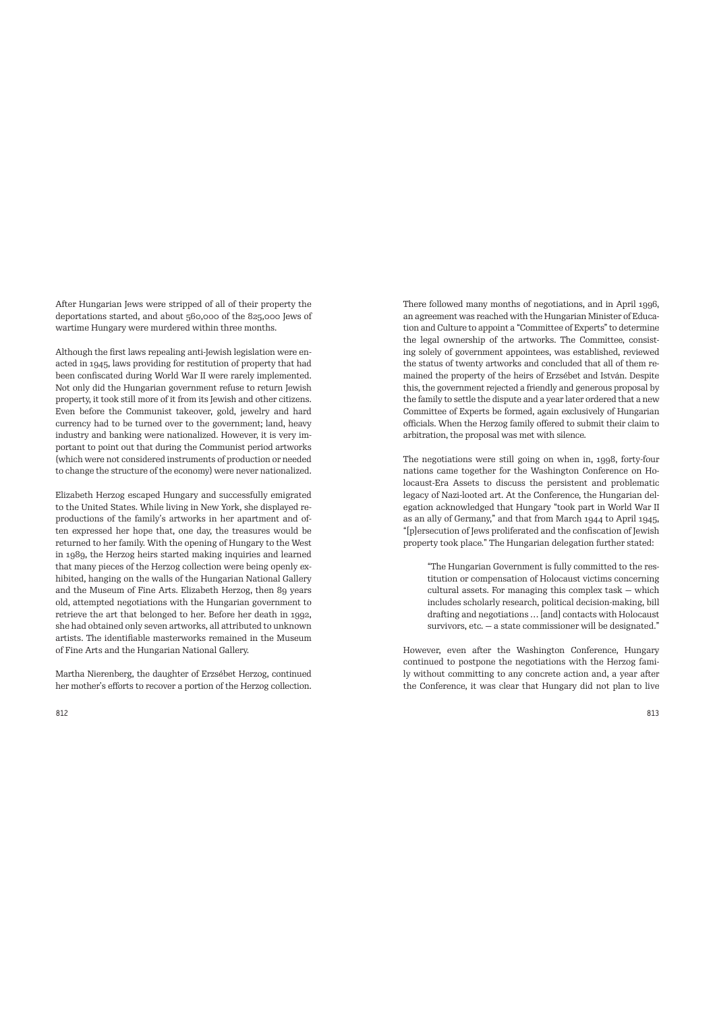After Hungarian Jews were stripped of all of their property the deportations started, and about 560,000 of the 825,000 Jews of wartime Hungary were murdered within three months.

Although the first laws repealing anti-Jewish legislation were enacted in 1945, laws providing for restitution of property that had been confiscated during World War II were rarely implemented. Not only did the Hungarian government refuse to return Jewish property, it took still more of it from its Jewish and other citizens. Even before the Communist takeover, gold, jewelry and hard currency had to be turned over to the government; land, heavy industry and banking were nationalized. However, it is very important to point out that during the Communist period artworks (which were not considered instruments of production or needed to change the structure of the economy) were never nationalized.

Elizabeth Herzog escaped Hungary and successfully emigrated to the United States. While living in New York, she displayed reproductions of the family's artworks in her apartment and often expressed her hope that, one day, the treasures would be returned to her family. With the opening of Hungary to the West in 1989, the Herzog heirs started making inquiries and learned that many pieces of the Herzog collection were being openly exhibited, hanging on the walls of the Hungarian National Gallery and the Museum of Fine Arts. Elizabeth Herzog, then 89 years old, attempted negotiations with the Hungarian government to retrieve the art that belonged to her. Before her death in 1992, she had obtained only seven artworks, all attributed to unknown artists. The identifiable masterworks remained in the Museum of Fine Arts and the Hungarian National Gallery.

Martha Nierenberg, the daughter of Erzsébet Herzog, continued her mother's efforts to recover a portion of the Herzog collection. There followed many months of negotiations, and in April 1996, an agreement was reached with the Hungarian Minister of Education and Culture to appoint a "Committee of Experts" to determine the legal ownership of the artworks. The Committee, consisting solely of government appointees, was established, reviewed the status of twenty artworks and concluded that all of them remained the property of the heirs of Erzsébet and István. Despite this, the government rejected a friendly and generous proposal by the family to settle the dispute and a year later ordered that a new Committee of Experts be formed, again exclusively of Hungarian officials. When the Herzog family offered to submit their claim to arbitration, the proposal was met with silence.

The negotiations were still going on when in, 1998, forty-four nations came together for the Washington Conference on Holocaust-Era Assets to discuss the persistent and problematic legacy of Nazi-looted art. At the Conference, the Hungarian delegation acknowledged that Hungary "took part in World War II as an ally of Germany," and that from March 1944 to April 1945, "[p]ersecution of Jews proliferated and the confiscation of Jewish property took place." The Hungarian delegation further stated:

"The Hungarian Government is fully committed to the restitution or compensation of Holocaust victims concerning cultural assets. For managing this complex task — which includes scholarly research, political decision-making, bill dra7ing and negotiations … [and] contacts with Holocaust survivors, etc. — a state commissioner will be designated."

However, even after the Washington Conference, Hungary continued to postpone the negotiations with the Herzog family without committing to any concrete action and, a year after the Conference, it was clear that Hungary did not plan to live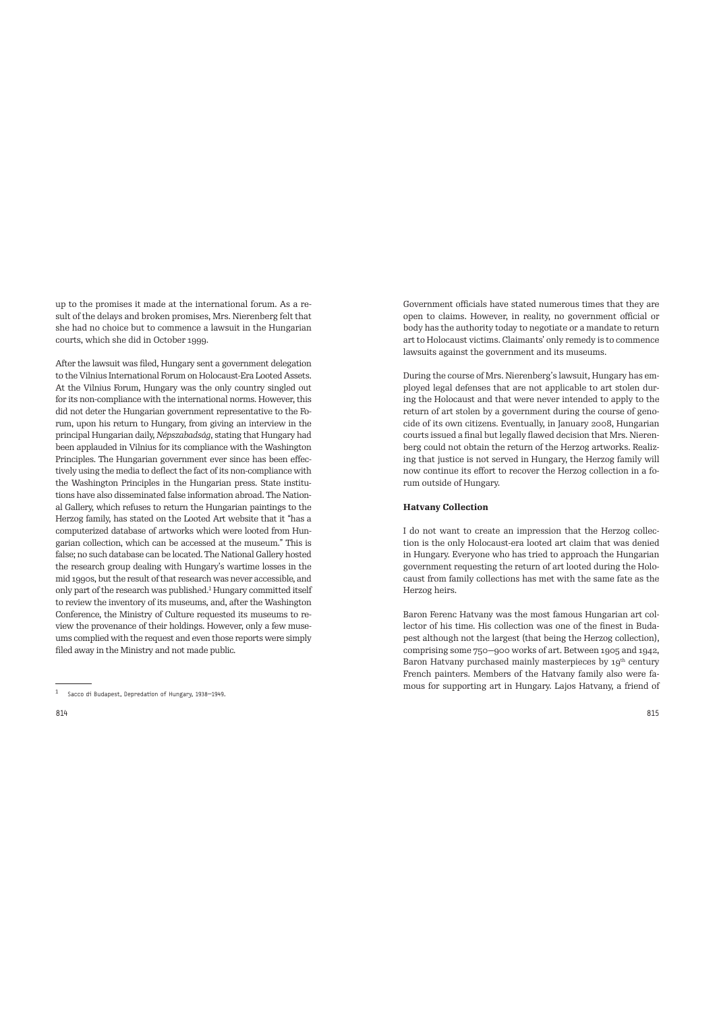up to the promises it made at the international forum. As a result of the delays and broken promises, Mrs. Nierenberg felt that she had no choice but to commence a lawsuit in the Hungarian courts, which she did in October 1999.

After the lawsuit was filed, Hungary sent a government delegation to the Vilnius International Forum on Holocaust-Era Looted Assets. At the Vilnius Forum, Hungary was the only country singled out for its non-compliance with the international norms. However, this did not deter the Hungarian government representative to the Forum, upon his return to Hungary, from giving an interview in the principal Hungarian daily, *Népszabadság*, stating that Hungary had been applauded in Vilnius for its compliance with the Washington Principles. The Hungarian government ever since has been effectively using the media to deflect the fact of its non-compliance with the Washington Principles in the Hungarian press. State institutions have also disseminated false information abroad. The National Gallery, which refuses to return the Hungarian paintings to the Herzog family, has stated on the Looted Art website that it "has a computerized database of artworks which were looted from Hungarian collection, which can be accessed at the museum." This is false; no such database can be located. The National Gallery hosted the research group dealing with Hungary's wartime losses in the mid 1990s, but the result of that research was never accessible, and only part of the research was published.<sup>1</sup> Hungary committed itself to review the inventory of its museums, and, after the Washington Conference, the Ministry of Culture requested its museums to review the provenance of their holdings. However, only a few museums complied with the request and even those reports were simply filed away in the Ministry and not made public.

Government officials have stated numerous times that they are open to claims. However, in reality, no government official or body has the authority today to negotiate or a mandate to return art to Holocaust victims. Claimants' only remedy is to commence lawsuits against the government and its museums.

During the course of Mrs. Nierenberg's lawsuit, Hungary has employed legal defenses that are not applicable to art stolen during the Holocaust and that were never intended to apply to the return of art stolen by a government during the course of genocide of its own citizens. Eventually, in January 2008, Hungarian courts issued a final but legally flawed decision that Mrs. Nierenberg could not obtain the return of the Herzog artworks. Realizing that justice is not served in Hungary, the Herzog family will now continue its effort to recover the Herzog collection in a forum outside of Hungary.

## **Hatvany Collection**

I do not want to create an impression that the Herzog collection is the only Holocaust-era looted art claim that was denied in Hungary. Everyone who has tried to approach the Hungarian government requesting the return of art looted during the Holocaust from family collections has met with the same fate as the Herzog heirs.

Baron Ferenc Hatvany was the most famous Hungarian art collector of his time. His collection was one of the finest in Budapest although not the largest (that being the Herzog collection), comprising some 750—900 works of art. Between 1905 and 1942, Baron Hatvany purchased mainly masterpieces by 19<sup>th</sup> century French painters. Members of the Hatvany family also were famous for supporting art in Hungary. Lajos Hatvany, a friend of

 $1$  Sacco di Budapest, Depredation of Hungary, 1938-1949.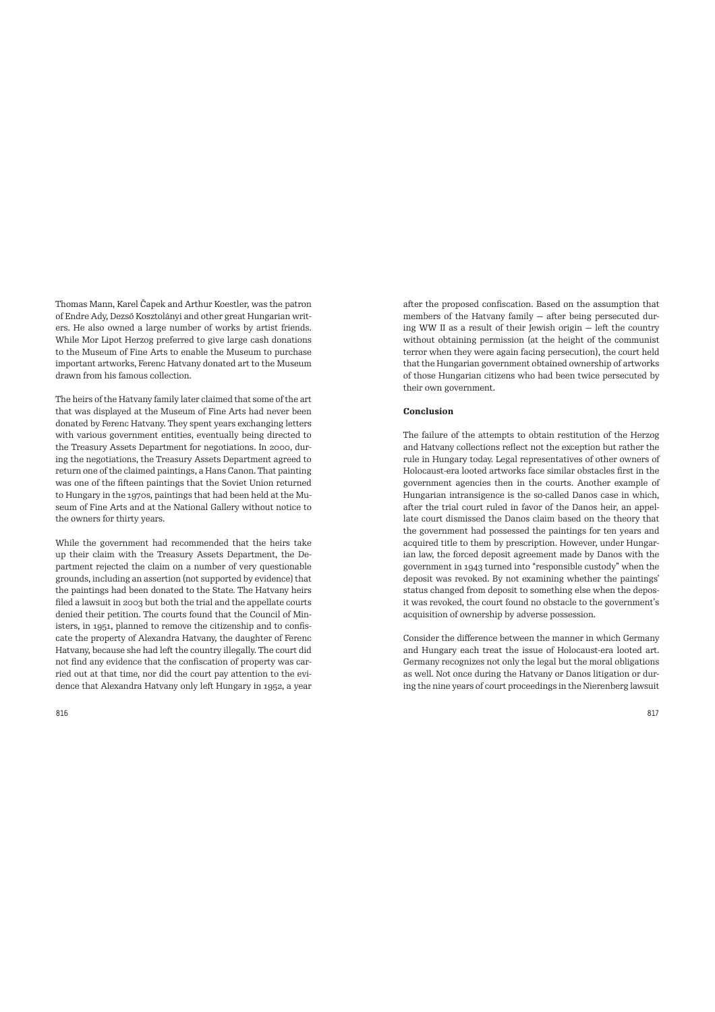Thomas Mann, Karel Čapek and Arthur Koestler, was the patron of Endre Ady, Dezső Kosztolányi and other great Hungarian writers. He also owned a large number of works by artist friends. While Mor Lipot Herzog preferred to give large cash donations to the Museum of Fine Arts to enable the Museum to purchase important artworks, Ferenc Hatvany donated art to the Museum drawn from his famous collection.

The heirs of the Hatvany family later claimed that some of the art that was displayed at the Museum of Fine Arts had never been donated by Ferenc Hatvany. They spent years exchanging letters with various government entities, eventually being directed to the Treasury Assets Department for negotiations. In 2000, during the negotiations, the Treasury Assets Department agreed to return one of the claimed paintings, a Hans Canon. That painting was one of the fifteen paintings that the Soviet Union returned to Hungary in the 1970s, paintings that had been held at the Museum of Fine Arts and at the National Gallery without notice to the owners for thirty years.

While the government had recommended that the heirs take up their claim with the Treasury Assets Department, the Department rejected the claim on a number of very questionable grounds, including an assertion (not supported by evidence) that the paintings had been donated to the State. The Hatvany heirs filed a lawsuit in 2003 but both the trial and the appellate courts denied their petition. The courts found that the Council of Ministers, in 1951, planned to remove the citizenship and to confiscate the property of Alexandra Hatvany, the daughter of Ferenc Hatvany, because she had left the country illegally. The court did not find any evidence that the confiscation of property was carried out at that time, nor did the court pay attention to the evidence that Alexandra Hatvany only left Hungary in 1952, a year after the proposed confiscation. Based on the assumption that members of the Hatvany family  $-$  after being persecuted during WW II as a result of their Jewish origin  $-$  left the country without obtaining permission (at the height of the communist terror when they were again facing persecution), the court held that the Hungarian government obtained ownership of artworks of those Hungarian citizens who had been twice persecuted by their own government.

## **Conclusion**

The failure of the attempts to obtain restitution of the Herzog and Hatvany collections reflect not the exception but rather the rule in Hungary today. Legal representatives of other owners of Holocaust-era looted artworks face similar obstacles first in the government agencies then in the courts. Another example of Hungarian intransigence is the so-called Danos case in which, after the trial court ruled in favor of the Danos heir, an appellate court dismissed the Danos claim based on the theory that the government had possessed the paintings for ten years and acquired title to them by prescription. However, under Hungarian law, the forced deposit agreement made by Danos with the government in 1943 turned into "responsible custody" when the deposit was revoked. By not examining whether the paintings' status changed from deposit to something else when the deposit was revoked, the court found no obstacle to the government's acquisition of ownership by adverse possession.

Consider the difference between the manner in which Germany and Hungary each treat the issue of Holocaust-era looted art. Germany recognizes not only the legal but the moral obligations as well. Not once during the Hatvany or Danos litigation or during the nine years of court proceedings in the Nierenberg lawsuit